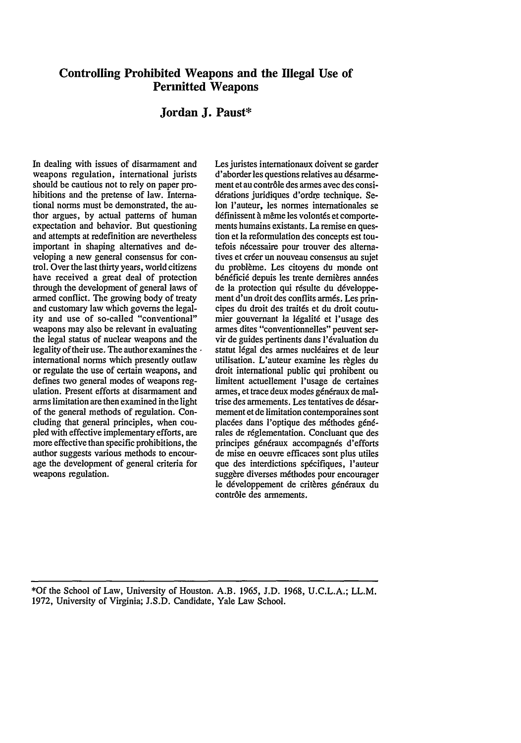# **Controlling Prohibited Weapons and the Illegal Use of Permitted Weapons**

## **Jordan J. Paust\***

In dealing with issues of disarmament and weapons regulation, international jurists should be cautious not to rely on paper prohibitions and the pretense of law. International norms must be demonstrated, the author argues, by actual patterns of human expectation and behavior. But questioning and attempts at redefinition are nevertheless important in shaping alternatives and developing a new general consensus for control. Over the last thirty years, world citizens have received a great deal of protection through the development of general laws of armed conflict. The growing body of treaty and customary law which governs the legality and use of so-called "conventional" weapons may also be relevant in evaluating the legal status of nuclear weapons and the legality of their use. The author examines the  $\cdot$ international norms which presently outlaw or regulate the use of certain weapons, and defines two general modes of weapons regulation. Present efforts at disarmament and arms limitation are then examined in the light of the general methods of regulation. Concluding that general principles, when cou pled with effective implementary efforts, are more effective than specific prohibitions, the author suggests various methods to encourage the development of general criteria for weapons regulation.

Les juristes internationaux doivent se garder d'aborder les questions relatives au désarmement et au contr61e des armes avec des considérations juridiques d'ordre technique. Se-Ion l'auteur, les normes internationales se définissent à même les volontés et comportements humains existants. La remise en question et la reformulation des concepts est toutefois nécessaire pour trouver des alternatives et créer un nouveau consensus au sujet du problème. Les citoyens du monde ont bénéficié depuis les trente dernières années de la protection qui résulte du développement d'un droit des conflits armés. Les principes du droit des traités et du droit coutumier gouvernant la 16galit6 et l'usage des armes dites "conventionnelles" peuvent servir de guides pertinents dans l'6valuation du statut légal des armes nucléaires et de leur utilisation. L'auteur examine les règles du droit international public qui prohibent ou limitent actuellement l'usage de certaines armes, et trace deux modes généraux de maîtrise des armements. Les tentatives de désarmement et de limitation contemporaines sont placées dans l'optique des méthodes générales de réglementation. Concluant que des principes généraux accompagnés d'efforts de mise en oeuvre efficaces sont plus utiles que des interdictions spécifiques, l'auteur suggère diverses méthodes pour encourager le développement de critères généraux du contr6le des armements.

\*Of the School of Law, University of Houston. A.B. 1965, **J.D.** 1968, **U.C.L.A.;** LL.M. 1972, University of Virginia; J.S.D. Candidate, Yale Law School.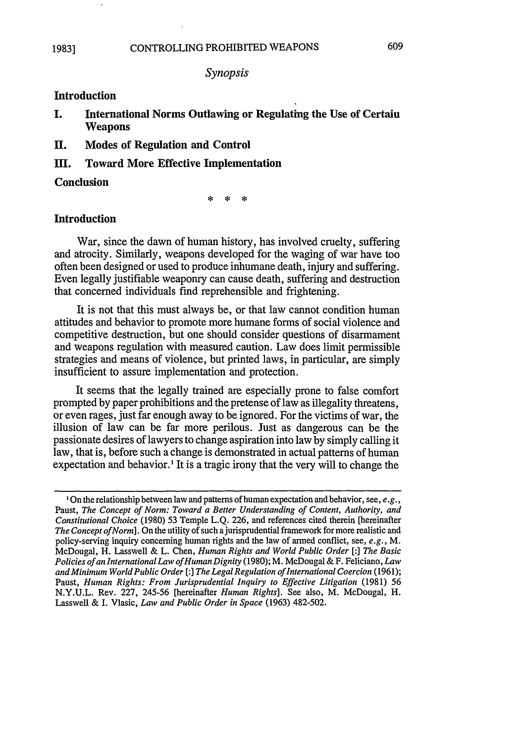## *Synopsis*

# **Introduction**

- **I. International Norms Outlawing or Regulating the Use of Certain Weapons**
- **II. Modes of Regulation and Control**
- **111. Toward More Effective Implementation**

## **Conclusion**

 $\mathbf{r}$ 

## **Introduction**

War, since the dawn of human history, has involved cruelty, suffering and atrocity. Similarly, weapons developed for the waging of war have too often been designed or used to produce inhumane death, injury and suffering. Even legally justifiable weaponry can cause death, suffering and destruction that concerned individuals find reprehensible and frightening.

It is not that this must always be, or that law cannot condition human attitudes and behavior to promote more humane forms of social violence and competitive destruction, but one should consider questions of disarmament and weapons regulation with measured caution. Law does limit permissible strategies and means of violence, but printed laws, in particular, are simply insufficient to assure implementation and protection.

It seems that the legally trained are especially prone to false comfort prompted **by** paper prohibitions and the pretense of law as illegality threatens, or even rages, just far enough away to be ignored. For the victims of war, the illusion of law can be far more perilous. Just as dangerous can be the passionate desires of lawyers to change aspiration into law **by** simply calling it law, that is, before such a change is demonstrated in actual patterns of human expectation and behavior.' It is a tragic irony that the very will to change the

<sup>&#</sup>x27;On the relationship between law and patterns of human expectation and behavior, see, *e.g.,* Paust, *The Concept of Norm: Toward a Better Understanding of Content, Authority, and Constitutional Choice* **(1980) 53** Temple **L.Q. 226,** and references cited therein [hereinafter *The Concept of Norm*]. On the utility of such a jurisprudential framework for more realistic and policy-serving inquiry concerning human rights and the law of **armed** conflict, see, *e.g., M.* McDougal, H. Lasswell **&** L. Chen, *Human Rights and World Public Order* **[:]** *The Basic Policies of an International Law of Human Dignity* **(1980);** M. McDougal & F. Feliciano, *Law and Minimum World Public Order* **[:]** *The Legal Regulation of International Coercion* **(1961);** Paust, *Human Rights: From Jurisprudential Inquiry to Effective Litigation* (1981) 56 **N.Y.U.L.** Rev. **227,** 245-56 [hereinafter *Human Rights].* See also, M. McDougal, H. Lasswell & **I.** Vlasic, *Law and Public Order in Space* **(1963)** 482-502.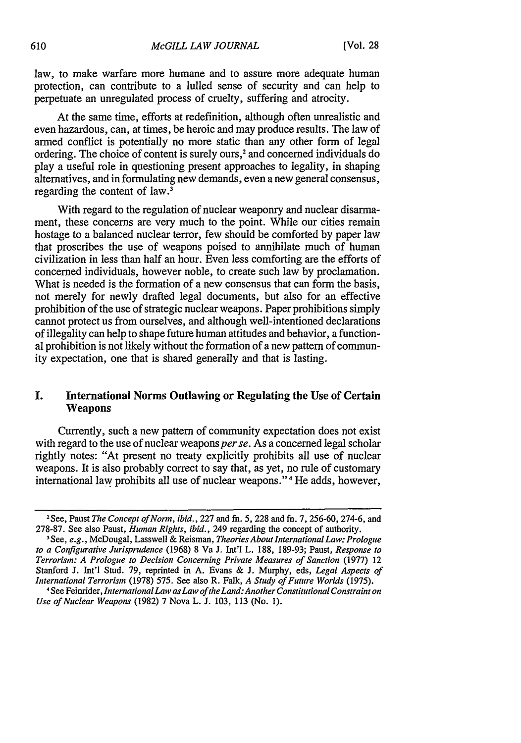law, to make warfare more humane and to assure more adequate human protection, can contribute to a lulled sense of security and can help to perpetuate an unregulated process of cruelty, suffering and atrocity.

At the same time, efforts at redefinition, although often unrealistic and even hazardous, can, at times, be heroic and may produce results. The law of armed conflict is potentially no more static than any other form of legal ordering. The choice of content is surely ours, 2 and concerned individuals do play a useful role in questioning present approaches to legality, in shaping alternatives, and in formulating new demands, even a new general consensus, regarding the content of law.3

With regard to the regulation of nuclear weaponry and nuclear disarmament, these concerns are very much to the point. While our cities remain hostage to a balanced nuclear terror, few should be comforted by paper law that proscribes the use of weapons poised to annihilate much of human civilization in less than half an hour. Even less comforting are the efforts of concerned individuals, however noble, to create such law by proclamation. What is needed is the formation of a new consensus that can form the basis, not merely for newly drafted legal documents, but also for an effective prohibition of the use of strategic nuclear weapons. Paper prohibitions simply cannot protect us from ourselves, and although well-intentioned declarations of illegality can help to shape future human attitudes and behavior, a functional prohibition is not likely without the formation of a new pattern of community expectation, one that is shared generally and that is lasting.

## I. International Norms Outlawing or Regulating the Use of Certain **Weapons**

Currently, such a new pattern of community expectation does not exist with regard to the use of nuclear weapons *per se*. As a concerned legal scholar rightly notes: "At present no treaty explicitly prohibits all use of nuclear weapons. It is also probably correct to say that, as yet, no rule of customary international law prohibits all use of nuclear weapons." 4 He adds, however,

<sup>2</sup> See, Paust *The Concept of Norm, ibid.,* 227 and fn. 5, 228 and fn. 7, 256-60, 274-6, and 278-87. See also Paust, *Human Rights, ibid.,* 249 regarding the concept of authority. 3See, e.g., McDougal, Lasswell & Reisman, *Theories About International Law: Prologue*

*to a Configurative Jurisprudence* (1968) 8 Va J. Int'l L. 188, 189-93; Paust, *Response to Terrorism: A Prologue to Decision Concerning Private Measures of Sanction* (1977) 12 Stanford J. Int'l Stud. 79, reprinted in A. Evans & J. Murphy, eds, *Legal Aspects of International Terrorism* (1978) 575. See also R. Falk, *A Study of Future Worlds* (1975).

<sup>4</sup> See Feinrider, *InternationalLaw asLaw of the Land:Another Constitutional Constraint on Use of Nuclear Weapons* (1982) 7 Nova L. J. 103, 113 (No. 1).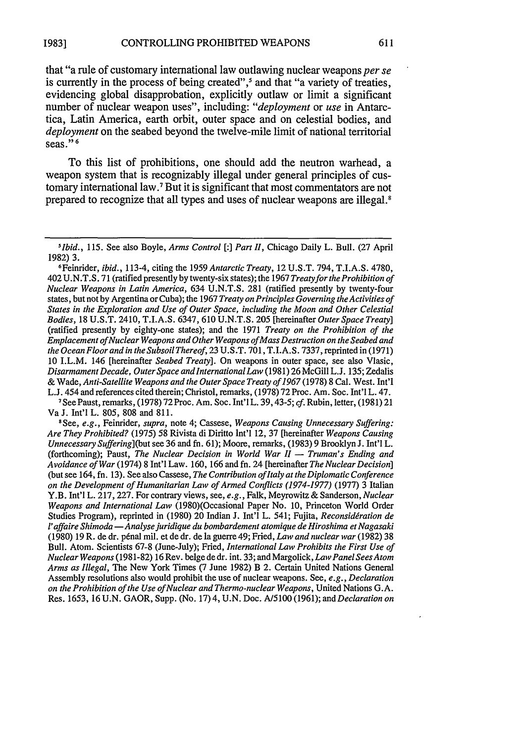that "a rule of customary international law outlawing nuclear weapons *per se* is currently in the process of being created",<sup>5</sup> and that "a variety of treaties, evidencing global disapprobation, explicitly outlaw or limit a significant number of nuclear weapon uses", including: *"deployment* or *use* in Antarctica, Latin America, earth orbit, outer space and on celestial bodies, and *deployment* on the seabed beyond the twelve-mile limit of national territorial seas." **<sup>6</sup>**

To this list of prohibitions, one should add the neutron warhead, a weapon system that is recognizably illegal under general principles of customary international law.7 But it is significant that most commentators are not prepared to recognize that all types and uses of nuclear weapons are illegal.8

See Paust, remarks, (1978) 72 Proc. Am. Soc. Int'l L. 39,43-5; *cf.* Rubin, letter, (1981) 21 Va J. Int'l L. 805, 808 and 811.

8 See, *e.g.,* Feinrider, *supra,* note 4; Cassese, *Weapons Causing Unnecessary Suffering: Are They Prohibited?* (1975) 58 Rivista di Diritto Int'l 12, 37 [hereinafter *Weapons Causing Unnecessary Suffering](but* see 36 and fn. 61); Moore, remarks, (1983) 9 Brooklyn J. Int'l L. (forthcoming); Paust, *The Nuclear Decision in World War 11 - Truman's Ending and Avoidance of War* (1974) 8 Int'l Law. 160, 166 and fn. 24 [hereinafter *The Nuclear Decision]* (but see 164, fn. 13). See also Cassese, *The Contribution of Italy at the Diplomatic Conference on the Development of Humanitarian Law of Armed Conflicts (1974-1977)* (1977) 3 Italian Y.B. Int'l L. 217,227. For contrary views, see, *e.g.,* Falk, Meyrowitz & Sanderson, *Nuclear Weapons and International Law* (1980)(Occasional Paper No. 10, Princeton World Order Studies Program), reprinted in (1980) 20 Indian J. Int'l L. 541; Fujita, *Reconsidération de l'affaire Shimoda -Analyse juridique du bombardement atomique de Hiroshima etNagasaki* (1980) 19 R. de dr. penal mil. et de dr. de la guerre 49; Fried, *Law and nuclear war* (1982) 38 Bull. Atom. Scientists 67-8 (June-July); Fried, *International Law Prohibits the First Use of Nuclear Weapons* (1981-82) 16 Rev. belgededr. int. 33; and Margolick, *Law Panel SeesAtom Arms as Illegal,* The New York Times (7 June 1982) B 2. Certain United Nations General Assembly resolutions also would prohibit the use of nuclear weapons. See, *e.g., Declaration on the Prohibition of the Use of Nuclear and Thermo-nuclear Weapons,* United Nations G.A. Res. 1653, 16 U.N. GAOR, Supp. (No. 17) 4, U.N. Doc. A/5100 (1961); and *Declaration on*

*<sup>5</sup>Ibid.,* 115. See also Boyle, *Arms Control [: Part 11,* Chicago Daily L. Bull. (27 April 1982) 3.

<sup>6</sup>Feinrider, *ibid.,* 113-4, citing the 1959 *Antarctic Treaty,* 12 U.S.T. 794, T.I.A.S. 4780, 402 U.N.T.S. 71 (ratified presently by twenty-six states); the 1967 *Treatyfor the Prohibition of Nuclear Weapons in Latin America,* 634 U.N.T.S. 281 (ratified presently by twenty-four states, but not by Argentina or Cuba); the 1967 *Treaty on Principles Governing theActivities of States in the Exploration and Use of Outer Space, including the Moon and Other Celestial Bodies,* 18 U.S.T. 2410, T.I.A.S. 6347, 610 U.N.T.S. 205 [hereinafter *Outer Space Treaty]* (ratified presently by eighty-one states); and the 1971 *Treaty on the Prohibition of the Emplacement of Nuclear Weapons and Other Weapons of Mass Destruction on the Seabed and the Ocean Floorand in the Subsoil Thereof,* 23 U.S.T. 701, T.I.A.S. 7337, reprinted in (1971) 10 I.L.M. 146 [hereinafter *Seabed Treaty].* On weapons in outer space, see also Vlasic, *Disarmament Decade, OuterSpace andInternationalLaw* (1981) 26 McGill L.J. 135; Zedalis & Wade, *Anti-Satellite Weapons and the Outer Space Treaty of 1967* (1978) 8 Cal. West. Int'l L.J. 454 and references cited therein; Christol, remarks, (1978) 72 Proc. Am. Soc. Int'l L. 47.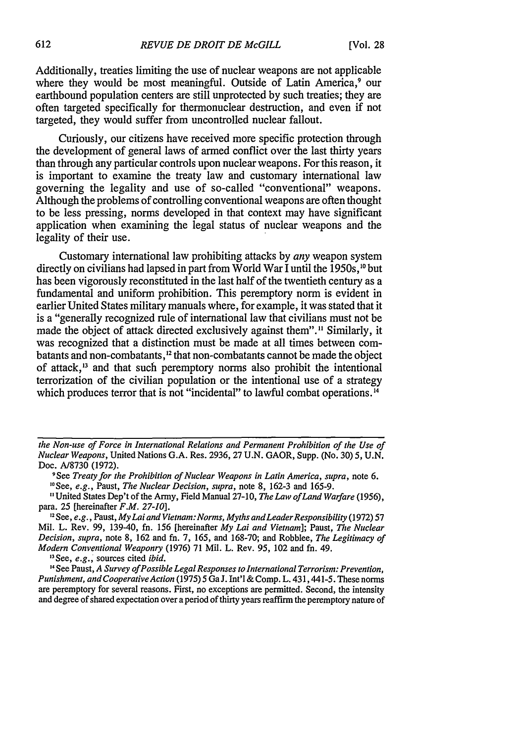Additionally, treaties limiting the use of nuclear weapons are not applicable where they would be most meaningful. Outside of Latin America,<sup>9</sup> our earthbound population centers are still unprotected by such treaties; they are often targeted specifically for thermonuclear destruction, and even if not targeted, they would suffer from uncontrolled nuclear fallout.

Curiously, our citizens have received more specific protection through the development of general laws of armed conflict over the last thirty years than through any particular controls upon nuclear weapons. For this reason, it is important to examine the treaty law and customary international law governing the legality and use of so-called "conventional" weapons. Although the problems of controlling conventional weapons are often thought to be less pressing, norms developed in that context may have significant application when examining the legal status of nuclear weapons and the legality of their use.

Customary international law prohibiting attacks by *any* weapon system directly on civilians had lapsed in part from World War I until the 1950s,"° but has been vigorously reconstituted in the last half of the twentieth century as a fundamental and uniform prohibition. This peremptory norm is evident in earlier United States military manuals where, for example, it was stated that it is a "generally recognized rule of international law that civilians must not be made the object of attack directed exclusively against them"." Similarly, it was recognized that a distinction must be made at all times between combatants and non-combatants,<sup>12</sup> that non-combatants cannot be made the object of attack,<sup>13</sup> and that such peremptory norms also prohibit the intentional terrorization of the civilian population or the intentional use of a strategy which produces terror that is not "incidental" to lawful combat operations. **1 4**

"See, *e.g.,* sources cited *ibid.*

**"** See Paust, *A Survey of Possible Legal Responses to International Terrorism: Prevention, Punishment, and Cooperative Action* (1975) 5 GaJ. Int'l & Comp. L. 431,441-5. These norms are peremptory for several reasons. First, no exceptions are permitted. Second, the intensity and degree of shared expectation over a period of thirty years reaffirm the peremptory nature of

*the Non-use of Force in International Relations and Permanent Prohibition of the Use of Nuclear Weapons,* United Nations G.A. Res. 2936, 27 U.N. GAOR, Supp. (No. 30) 5, U.N. Doc. A/8730 (1972).

See *Treaty for the Prohibition of Nuclear Weapons in Latin America, supra,* note 6. 1"See, *e.g.,* Paust, *The Nuclear Decision, supra,* note 8, 162-3 and 165-9.

<sup>&</sup>quot;United States Dep't of the Army, Field Manual 27-10, *The Law of Land Warfare (1956),* para. 25 [hereinafter *F.M. 27-10].*

**<sup>,2</sup>** See, *e.g.,* Paust, *MyLai and Vietnam:Norms, Myths andLeader Responsibility* (1972) 57 Mil. L. Rev. 99, 139-40, fn. 156 [hereinafter *My Lai and Vietnam];* Paust, *The Nuclear Decision, supra,* note 8, 162 and fn. 7, 165, and 168-70; and Robblee, *The Legitimacy of Modern Conventional Weaponry* (1976) 71 Mil. L. Rev. 95, 102 and fn. 49.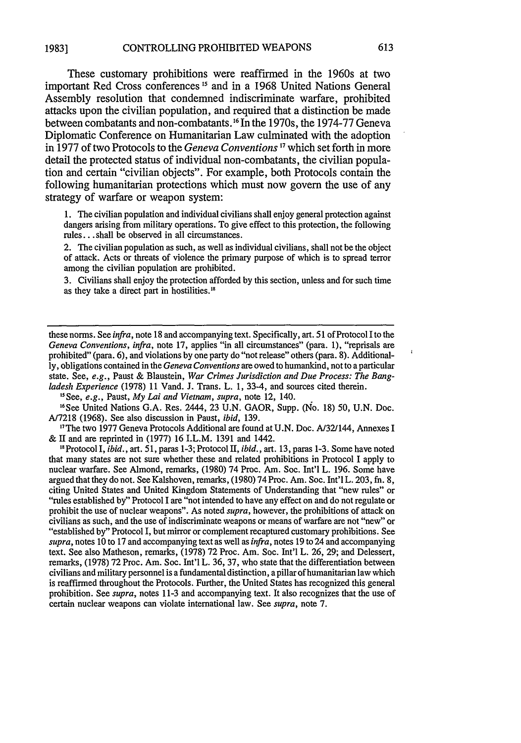These customary prohibitions were reaffirmed in the 1960s at two important Red Cross conferences *15* and in a 1968 United Nations General Assembly resolution that condemned indiscriminate warfare, prohibited attacks upon the civilian population, and required that a distinction be made between combatants and non-combatants. 16 In the 1970s, the 1974-77 Geneva Diplomatic Conference on Humanitarian Law culminated with the adoption in 1977 of two Protocols to the *Geneva Conventions* **17** which set forth in more detail the protected status of individual non-combatants, the civilian population and certain "civilian objects". For example, both Protocols contain the following humanitarian protections which must now govern the use of any strategy of warfare or weapon system:

1. The civilian population and individual civilians shall enjoy general protection against dangers arising from military operations. To give effect to this protection, the following rules... shall be observed in all circumstances.

2. The civilian population as such, as well as individual civilians, shall not be the object of attack. Acts or threats of violence the primary purpose of which is to spread terror among the civilian population are prohibited.

3. Civilians shall enjoy the protection afforded by this section, unless and for such time as they take a direct part in hostilities."8

these norms. See *infra,* note 18 and accompanying text. Specifically, art. 51 of Protocol **I** to the *Geneva Conventions, infra,* note 17, applies "in all circumstances" (para. 1), "reprisals are prohibited" (para. 6), and violations by one party do "not release" others (para. 8). Additionally, obligations contained in the *Geneva Conventions* are owed to humankind, not to a particular state. See, *e.g.,* Paust & Blaustein, *War Crimes Jurisdiction and Due Process: The Bangladesh Experience* (1978) 11 Vand. J. Trans. L. **1,** 33-4, and sources cited therein.

"See, *e.g.,* Paust, *My Lai and Vietnam, supra,* note 12, 140.

"See United Nations G.A. Res. 2444, 23 U.N. GAOR, Supp. (No. 18) 50, U.N. Doc. A/7218 (1968). See also discussion in Paust, *ibid,* 139.

" 7The two 1977 Geneva Protocols Additional are found at U.N. Doc. A/32/144, Annexes I & II and are reprinted in (1977) 16 I.L.M. 1391 and 1442.

<sup>18</sup> Protocol I, *ibid.*, art. 51, paras 1-3; Protocol II, *ibid.*, art. 13, paras 1-3. Some have noted that many states are not sure whether these and related prohibitions in Protocol I apply to nuclear warfare. See Almond, remarks, (1980) 74 Proc. Am. Soc. Int'l L. 196. Some have argued that they do not. See Kalshoven, remarks, (1980)74 Proc. Am. Soc. Int'l L. 203, fn. 8, citing United States and United Kingdom Statements of Understanding that "new rules" or "rules established by" Protocol I are "not intended to have any effect on and do not regulate or prohibit the use of nuclear weapons". As noted *supra,* however, the prohibitions of attack on civilians as such, and the use of indiscriminate weapons or means of warfare are not "new" or "established by" Protocol I, but mirror or complement recaptured customary prohibitions. See *supra,* notes 10 to 17 and accompanying text as well as *infra,* notes 19 to 24 and accompanying text. See also Matheson, remarks, (1978) 72 Proc. Am. Soc. Int'l L. 26, 29; and Delessert, remarks, (1978) 72 Proc. Am. Soc. Int'l L. 36, 37, who state that the differentiation between civilians and military personnel is a fundamental distinction, a pillar of humanitarian law which is reaffirmed throughout the Protocols. Further, the United States has recognized this general prohibition. See *supra,* notes 11-3 and accompanying text. It also recognizes that the use of certain nuclear weapons can violate international law. See *supra,* note 7.

 $\overline{1}$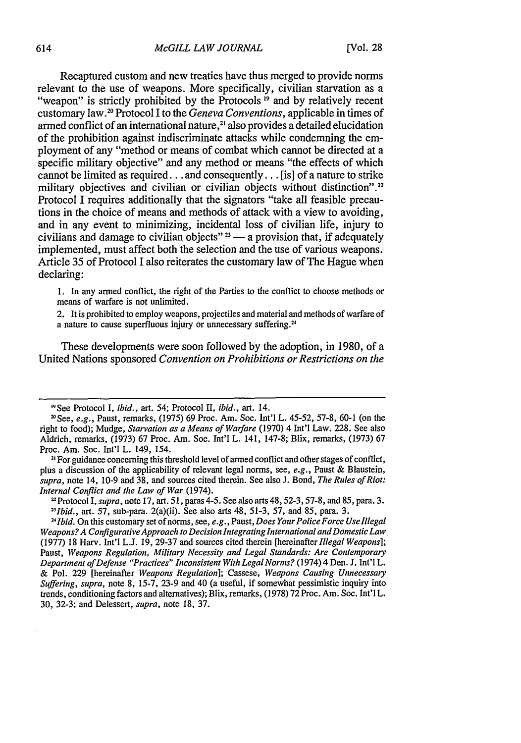Recaptured custom and new treaties have thus merged to provide norms relevant to the use of weapons. More specifically, civilian starvation as a "weapon" is strictly prohibited by the Protocols **19** and by relatively recent customary law." Protocol I to the *Geneva Conventions,* applicable in times of armed conflict of an international nature,<sup>21</sup> also provides a detailed elucidation of the prohibition against indiscriminate attacks while condemning the employment of any "method or means of combat which cannot be directed at a specific military objective" and any method or means "the effects of which cannot be limited as required.., and consequently... [is] of a nature to strike military objectives and civilian or civilian objects without distinction".<sup>22</sup> Protocol I requires additionally that the signators "take all feasible precautions in the choice of means and methods of attack with a view to avoiding, and in any event to minimizing, incidental loss of civilian life, injury to civilians and damage to civilian objects" $3 - a$  provision that, if adequately implemented, must affect both the selection and the use of various weapons. Article 35 of Protocol I also reiterates the customary law of The Hague when declaring:

1. In any armed conflict, the right of the Parties to the conflict to choose methods or means of warfare is not unlimited.

2. It is prohibited to employ weapons, projectiles and material and methods of warfare of a nature to cause superfluous injury or unnecessary suffering.<sup>24</sup>

These developments were soon followed by the adoption, in 1980, of a United Nations sponsored *Convention on Prohibitions or Restrictions on the*

<sup>&</sup>quot;See Protocol I, *ibid.,* art. 54; Protocol II, *ibid.,* art. 14.

<sup>&</sup>quot;See, *e.g.,* Paust, remarks, (1975) 69 Proc. Am. Soc. Int'l L. 45-52, 57-8, 60-1 (on the right to food); Mudge, *Starvation as a Means of Warfare* (1970) 4 Int'l Law. 228. See also Aldrich, remarks, (1973) 67 Proc. Am. Soc. Int'l L. 141, 147-8; Blix, remarks, (1973) 67 Proc. Am. Soc. Int'l L. 149, 154.

<sup>&</sup>lt;sup>21</sup> For guidance concerning this threshold level of armed conflict and other stages of conflict, plus a discussion of the applicability of relevant legal norms, see, *e.g.,* Paust & Blaustein, *supra,* note 14, 10-9 and 38, and sources cited therein. See also J. Bond, *The Rules of Riot: Internal Conflict and the Law of War* (1974).

<sup>2</sup>Protocol I, *supra,* note 17, art. 51, paras 4-5. See also arts 48, 52-3, 57-8, and 85, para. 3. *13Ibid.,* art. 57, sub-para. 2(a)(ii). See also arts 48, 51-3, 57, and 85, para. 3.

<sup>&</sup>lt;sup>24</sup> Ibid. On this customary set of norms, see, *e.g.*, Paust, *Does Your Police Force Use Illegal Weapons? A Configurative Approach to Decision Integrating International and Domestic Law* (1977) 18 Harv. Int'l L.J. 19, 29-37 and sources cited therein [hereinafter *Illegal Weapons];* Paust, *Weapons Regulation, Military Necessity and Legal Standards: Are Contemporary Department of Defense "Practices" Inconsistent With Legal Norms?* (1974) 4 Den. **J.** Int'l L. & Pol. 229 [hereinafter *Weapons Regulation];* Cassese, *Weapons Causing Unnecessary Suffering, supra,* note 8, 15-7, 23-9 and 40 (a useful, if somewhat pessimistic inquiry into trends, conditioning factors and alternatives); Blix, remarks, (1978) 72 Proc. Am. Soc. Int'l L. 30, 32-3; and Delessert, *supra,* note 18, 37.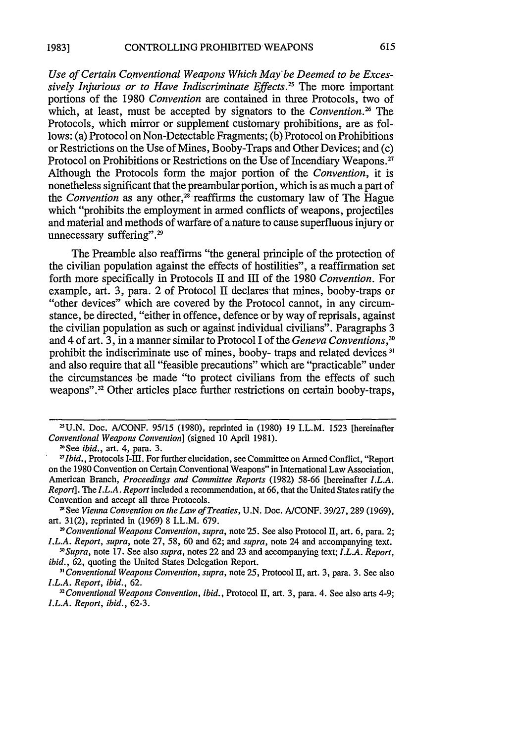*Use of Certain Conventional Weapons Which May'be Deemed to be Excessively Injurious or to Have Indiscriminate Effects.'* The more important portions of the **1980** *Convention* are contained in three Protocols, two of which, at least, must be accepted by signators to the *Convention*<sup>26</sup> The Protocols, which mirror or supplement customary prohibitions, are as follows: (a) Protocol on Non-Detectable Fragments; **(b)** Protocol on Prohibitions or Restrictions on the Use of Mines, Booby-Traps and Other Devices; and (c) Protocol on Prohibitions or Restrictions on the Use of Incendiary Weapons.<sup>27</sup> Although the Protocols form the major portion of the *Convention,* it is nonetheless significant that the preambular portion, which is as much a part of the *Convention* as any other, $2\hat{s}$  reaffirms the customary law of The Hague which "prohibits the employment in armed conflicts of weapons, projectiles and material and methods of warfare of anature to cause superfluous injury or unnecessary suffering".<sup>29</sup>

The Preamble also reaffirms "the general principle of the protection of the civilian population against the effects of hostilities", a reaffirmation set forth more specifically in Protocols **II** and **III** of the **1980** *Convention.* For example, art. 3, para. 2 of Protocol II declares that mines, booby-traps or "other devices" which are covered **by** the Protocol cannot, in any circumstance, be directed, "either in offence, defence or **by** way of reprisals, against the civilian population as such or against individual civilians". Paragraphs **3** and 4 of art. **3,** in a manner similar to Protocol **I** of the *Geneva Conventions,<sup>30</sup>* prohibit the indiscriminate use of mines, booby- traps and related devices **3'** and also require that all "feasible precautions" which are "practicable" under the circumstances be made "to protect civilians from the effects of such **weapons".32** Other articles place further restrictions on certain booby-traps,

*"Supra,* note **17.** See also *supra,* notes 22 and **23** and accompanying text; *I.L.A. Report, ibid.,* **62,** quoting the United States Delegation Report.

**<sup>2</sup>U.N.** Doe. **A/CONF. 95/15 (1980),** reprinted in **(1980) 19** I.L.M. **1523** [hereinafter Conventional Weapons *Convention]* (signed **10** April **1981).**

<sup>6</sup>See *ibid.,* art. 4, **para. 3.**

*<sup>\* &</sup>quot;Ibid.,* Protocols I-Ill. For further elucidation, see Committee on Armed Conflict, "Report on the **1980** Convention on Certain Conventional Weapons" in International Law Association, American Branch, *Proceedings and Committee Reports* **(1982) 58-66** [hereinafter *I.L.A. Report]. The I.L.A. Report* included a recommendation, at **66,** that the United States ratify the Convention and accept all three Protocols.

<sup>&</sup>quot;See Vienna Convention *on the Law of Treaties,* **U.N.** Doc. **A/CONF. 39/27, 289 (1969),** art. **31(2),** reprinted in **(1969) 8** I.L.M. **679.**

*<sup>9</sup>Conventional Weapons Convention, supra,* note **25.** See also Protocol II, art. **6,** para. 2; *I.L.A. Report, supra,* note **27, 58, 60** and **62;** and *supra,* note 24 and accompanying text.

**<sup>31</sup>** *Conventional Weapons Convention, supra,* note **25,** Protocol **I,** art. **3,** para. **3.** See also *I.L.A. Report, ibid.,* **62.**

*<sup>&</sup>quot;Conventional Weapons Convention, ibid.,* Protocol **II,** art. **3,** para. 4. See also arts 4-9; *I.L.A. Report, ibid.,* **62-3.**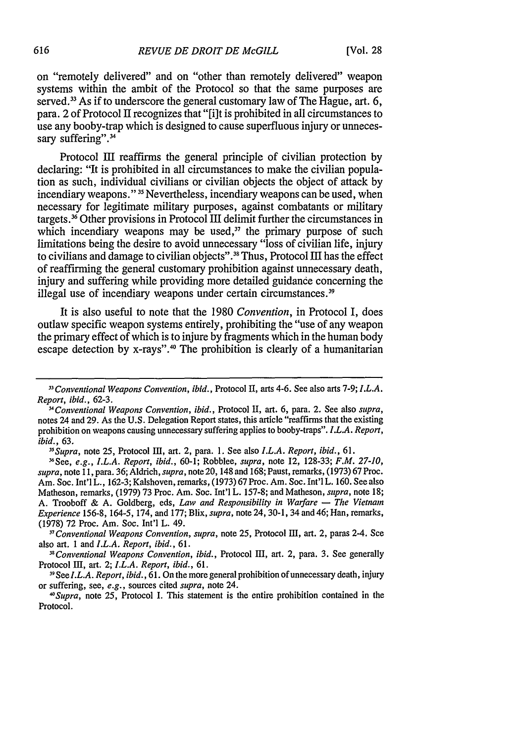on "remotely delivered" and on "other than remotely delivered" weapon systems within the ambit of the Protocol so that the same purposes are served.<sup>33</sup> As if to underscore the general customary law of The Hague, art. 6, para. 2 of Protocol II recognizes that "[i]t is prohibited in all circumstances to use any booby-trap which is designed to cause superfluous injury or unnecessary suffering".<sup>34</sup>

Protocol III reaffirms the general principle of civilian protection by declaring: "It is prohibited in all circumstances to make the civilian population as such, individual civilians or civilian objects the object of attack by incendiary weapons." **15** Nevertheless, incendiary weapons can be used, when necessary for legitimate military purposes, against combatants or military targets.36 Other provisions in Protocol III delimit further the circumstances in which incendiary weapons may be used, $37$  the primary purpose of such limitations being the desire to avoid unnecessary "loss of civilian life, injury to civilians and damage to civilian objects".<sup>38</sup> Thus, Protocol III has the effect of reaffirming the general customary prohibition against unnecessary death, injury and suffering while providing more detailed guidance concerning the illegal use of incendiary weapons under certain circumstances.<sup>39</sup>

It is also useful to note that the 1980 *Convention,* in Protocol I, does outlaw specific weapon systems entirely, prohibiting the "use of any weapon the primary effect of which is to injure by fragments which in the human body escape detection by x-rays".<sup>40</sup> The prohibition is clearly of a humanitarian

*"Supra,* note 25, Protocol III, art. 2, para. 1. See also *I.L.A. Report, ibid.,* 61.

*" <sup>7</sup> Conventional Weapons Convention, supra,* note 25, Protocol III, art. 2, paras 2-4. See also art. 1 and *I.L.A. Report, ibid.,* 61.

*"Conventional Weapons Convention, ibid.,* Protocol III, art. 2, para. 3. See generally Protocol III, art. 2; *I.L.A. Report, ibid.,* 61.

*<sup>1</sup> <sup>3</sup>Conventional Weapons Convention, ibid.,* Protocol II, arts 4-6. See also arts 7-9; *I.L.A. Report, ibid.,* 62-3.

*<sup>3</sup> 4Conventional Weapons Convention, ibid.,* Protocol II, art. 6, para. 2. See also *supra,* notes 24 and 29. As the U.S. Delegation Report states, this article "reaffirms that the existing prohibition on weapons causing unnecessary suffering applies to booby-traps". *I.L.A. Report, ibid.,* 63.

<sup>&</sup>quot;See, *e.g., I.L.A. Report, ibid.,* 60-1; Robblee, *supra,* note 12, 128-33; *F.M. 27-10, supra,* note 11, para. 36; Aldrich, *supra,* note 20, 148 and 168; Paust, remarks, (1973) 67 Proc. Am. Soc. Int'l L., 162-3; Kalshoven, remarks, (1973) 67 Proc. Am. Soc. Int'l L. 160. See also Matheson, remarks, (1979) 73 Proc. Am. Soc. Int'l L. 157-8; and Matheson, *supra,* note 18; A. Trooboff & A. Goldberg, eds, *Law and Responsibility in Warfare* **-** *The Vietnam Experience* 156-8, 164-5, 174, and 177; Blix, *supra,* note 24, 30-1, 34 and 46; Han, remarks, (1978) 72 Proc. Am. Soc. Int'l L. 49.

*<sup>39</sup> SeeI.L.A. Report, ibid.,* 61. On the more general prohibition of unnecessary death, injury or suffering, see, *e.g.,* sources cited *supra,* note 24.

*<sup>4°</sup>Supra,* note 25, Protocol I. This statement is the entire prohibition contained in the Protocol.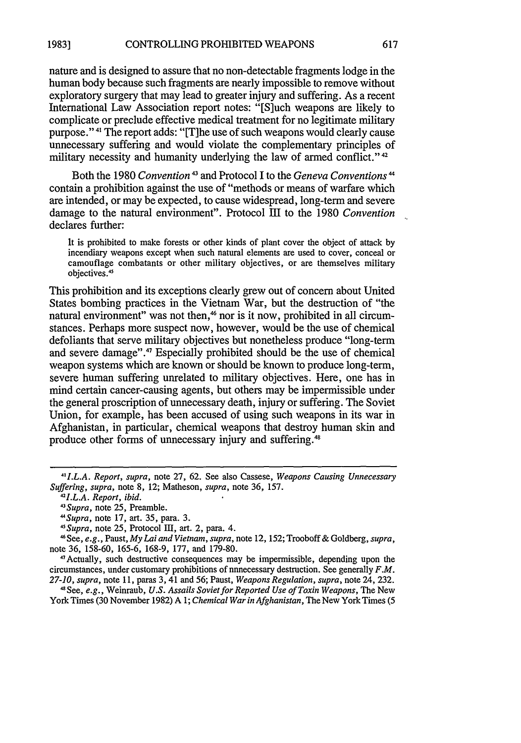nature and is designed to assure that no non-detectable fragments lodge in the human body because such fragments are nearly impossible to remove without exploratory surgery that may lead to greater injury and suffering. As a recent International Law Association report notes: "[Sluch weapons are likely to complicate or preclude effective medical treatment for no legitimate military purpose."<sup>41</sup> The report adds: "[T]he use of such weapons would clearly cause unnecessary suffering and would violate the complementary principles of military necessity and humanity underlying the law of armed conflict."<sup>42</sup>

Both the 1980 *Convention*<sup>43</sup> and Protocol I to the *Geneva Conventions*<sup>44</sup> contain a prohibition against the use of "methods or means of warfare which are intended, or may be expected, to cause widespread, long-term and severe damage to the natural environment". Protocol III to the 1980 Convention declares further:

It is prohibited to make forests or other kinds of plant cover the object of attack by incendiary weapons except when such natural elements are used to cover, conceal or camouflage combatants or other military objectives, or are themselves military objectives.<sup>4</sup>

This prohibition and its exceptions clearly grew out of concern about United States bombing practices in the Vietnam War, but the destruction of "the natural environment" was not then,<sup>46</sup> nor is it now, prohibited in all circumstances. Perhaps more suspect now, however, would be the use of chemical defoliants that serve military objectives but nonetheless produce "long-term and severe damage".<sup>47</sup> Especially prohibited should be the use of chemical weapon systems which are known or should be known to produce long-term, severe human suffering unrelated to military objectives. Here, one has in mind certain cancer-causing agents, but others may be impermissible under the general proscription of unnecessary death, injury or suffering. The Soviet Union, for example, has been accused of using such weapons in its war in Afghanistan, in particular, chemical weapons that destroy human skin and produce other forms of unnecessary injury and suffering."

4 1Actually, such destructive consequences may be impermissible, depending upon the circumstances, under customary prohibitions of unnecessary destruction. See generally *F.M. 27-10, supra,* note 11, paras 3, 41 and 56; Paust, *Weapons Regulation, supra,* note 24, 232.

41See, *e.g.,* Weinraub, *U.S. Assails Sovietfor Reported Use of Toxin Weapons,* The New York Times (30 November 1982) A *1; Chemical War in Afghanistan,* The New York Times (5

*<sup>4</sup> "I.L.A. Report, supra,* note 27, 62. See also Cassese, *Weapons Causing Unnecessary Suffering, supra,* note 8, 12; Matheson, *supra,* note 36, 157. *<sup>42</sup>*

*<sup>1</sup>I.L.A. Report, ibid. <sup>43</sup>*

*Supra,* note 25, Preamble.

*<sup>&</sup>quot;Supra,* note 17, art. 35, para. 3. *<sup>4</sup>*

<sup>&</sup>lt;sup>45</sup> Supra, note 25, Protocol III, art. 2, para. 4.

See, *e.g.,* Paust, *My Lai and Vietnam, supra,* note 12, 152; Trooboff & Goldberg, *supra,* note 36, 158-60, 165-6, 168-9, 177, and 179-80.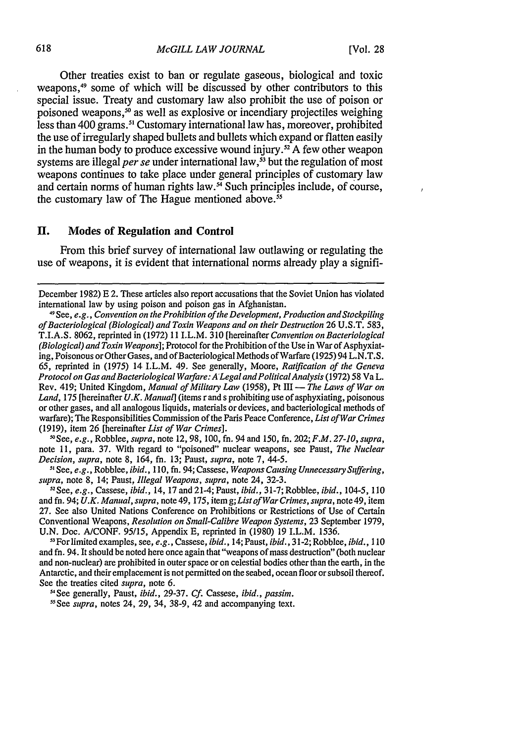Other treaties exist to ban or regulate gaseous, biological and toxic weapons,<sup>49</sup> some of which will be discussed by other contributors to this special issue. Treaty and customary law also prohibit the use of poison or poisoned weapons,<sup>50</sup> as well as explosive or incendiary projectiles weighing less than 400 grams.<sup>sı</sup> Customary international law has, moreover, prohibited the use of irregularly shaped bullets and bullets which expand or flatten easily in the human body to produce excessive wound injury.<sup>52</sup> A few other weapon systems are illegal *per se* under international law,<sup>53</sup> but the regulation of most weapons continues to take place under general principles of customary law and certain norms of human rights law. $\frac{54}{12}$  Such principles include, of course, the customary law of The Hague mentioned above. $55$ 

#### **II.** Modes **of Regulation and Control**

From this brief survey of international law outlawing or regulating the use of weapons, it is evident that international norms already play a signifi-

"OSee, *e.g.,* Robblee, *supra,* note 12, 98, 100, fn. 94 and 150, fn. 202; *F.M. 27-10, supra,* note 11, para. 37. With regard to "poisoned" nuclear weapons, see Paust, *The Nuclear Decision, supra, note 8, 164, fn. 13; Paust, supra, note 7, 44-5.* 

See, *e.g.,* Robblee, *ibid.,* 110, fn. 94; Cassese, *Weapons Causing Unnecessary Suffering,* supra, note 8, 14; Paust, *Illegal Weapons*, supra, note 24, 32-3.

1 2 See, *e.g.,* Cassese, *ibid.,* 14, 17 and 21-4; Paust, *ibid.,* 31-7; Robblee, *ibid., 104-5,* **<sup>110</sup>** and fn. 94; *U.K. Manual, supra,* note 49, 175, item *g;List ofWar Crimes, supra,* note 49, item 27. See also United Nations Conference on Prohibitions or Restrictions of Use of Certain Conventional Weapons, *Resolution on Small-Calibre Weapon Systems,* 23 September 1979, U.N. Doc. A/CONF. *95/15,* Appendix E, reprinted in (1980) 19 I.L.M. 1536.

53For limited examples, see, *e.g.,* Cassese, *ibid.,* 14; Paust, *ibid.,* 31-2; Robblee, *ibid., 110* and fn. 94. It should be noted here once again that "weapons of mass destruction" (both nuclear and non-nuclear) are prohibited in outer space or on celestial bodies other than the earth, in the Antarctic, and their emplacement is not permitted on the seabed, ocean floor or subsoil thereof. See the treaties cited *supra,* note 6.

-'See generally, Paust, *ibid.,* 29-37. *Cf.* Cassese, *ibid., passim.*

*'-See supra,* notes 24, 29, 34, 38-9, 42 and accompanying text.

December 1982) **E** 2. These articles also report accusations that the Soviet Union has violated international law by using poison and poison gas in Afghanistan.

<sup>49</sup> See, *e.g., Convention on the Prohibition of the Development, Production and Stockpiling of Bacteriological (Biological) and Toxin Weapons and on their Destruction* 26 U.S.T. 583, T.I.A.S. 8062, reprinted in (1972) 11 I.L.M. 310 [hereinafter *Convention on Bacteriological (Biological) and Toxin Weapons];* Protocol for the Prohibition of the Use in War of Asphyxiating, Poisonous or Other Gases, and of Bacteriological Methods of Warfare (1925) 94 L.N.T.S. 65, reprinted in (1975) 14 I.L.M. 49. See generally, Moore, *Ratification of the Geneva Protocol on Gas and Bacteriological Warfare: A'Legal and PoliticalAnalysis* (1972) 58 Va L. Rev. 419; United Kingdom, *Manual of Military Law* (1958), Pt III - *The Laws of War on Land,* 175 [hereinafter *U.K. Manual]* (items r and s prohibiting use of asphyxiating, poisonous or other gases, and all analogous liquids, materials or devices, and bacteriological methods of warfare); The Responsibilities Commission of the Paris Peace Conference, *List of War Crimes* (1919), item 26 [hereinafter *List of War Crimes].*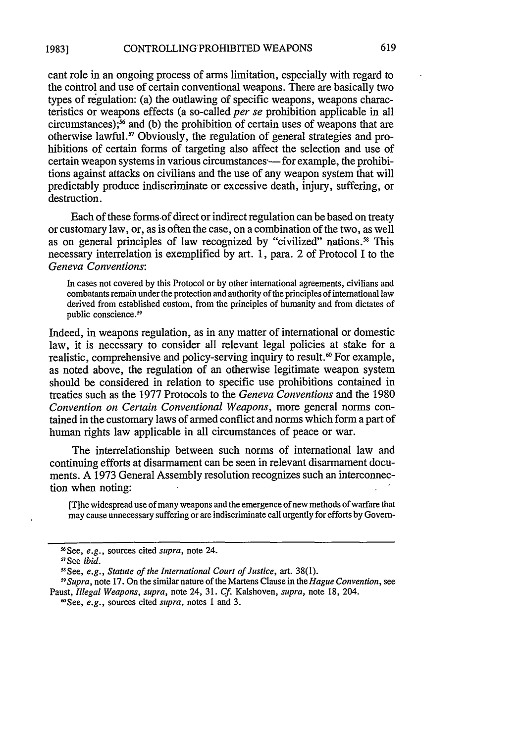cant role in an ongoing process of arms limitation, especially with regard to the control and use of certain conventional weapons. There are basically two types of regulation: (a) the outlawing of specific weapons, weapons characteristics or weapons effects (a so-called *per se* prohibition applicable in all circumstances); $36$  and (b) the prohibition of certain uses of weapons that are otherwise lawful.<sup>57</sup> Obviously, the regulation of general strategies and prohibitions of certain forms of targeting also affect the selection and use of certain weapon systems in various circumstances—for example, the prohibitions against attacks on civilians and the use of any weapon system that will predictably produce indiscriminate or excessive death, injury, suffering, or destruction.

Each of these forms of direct or indirect regulation can be based on treaty or customary law, or, as is often the case, on a combination of the two, as well as on general principles of law recognized by "civilized" nations.<sup>58</sup> This necessary interrelation is exemplified by art. 1, para. 2 of Protocol I to the *Geneva Conventions:*

In cases not covered by this Protocol or by other international agreements, civilians and combatants remain under the protection and authority of the principles of international law derived from established custom, from the principles of humanity and from dictates of public conscience.<sup>59</sup>

Indeed, in weapons regulation, as in any matter of international or domestic law, it is necessary to consider all relevant legal policies at stake for a realistic, comprehensive and policy-serving inquiry to result.<sup>60</sup> For example, as noted above, the regulation of an otherwise legitimate weapon system should be considered in relation to specific use prohibitions contained in treaties such as the 1977 Protocols to the *Geneva Conventions* and the 1980 *Convention on Certain Conventional Weapons,* more general norms contained in the customary laws of armed conflict and norms which form a part of human rights law applicable in all circumstances of peace or war.

The interrelationship between such norms of international law and continuing efforts at disarmament can be seen in relevant disarmament documents. A 1973 General Assembly resolution recognizes such an interconnection when noting:

[Tihe widespread use of many weapons and the emergence of new methods of warfare that may cause unnecessary suffering or are indiscriminate call urgently for efforts by Govern-

See, *e.g.,* sources cited *supra,* notes 1 and 3.

<sup>&#</sup>x27; 6 See, *e.g.,* sources cited *supra,* note 24.

<sup>&</sup>quot;See *ibid.*

<sup>&</sup>quot;See, *e.g., Statute of the International Court of Justice,* art. 38(1).

*<sup>59</sup> Supra,* note 17. On the similar nature of the Martens Clause in the *Hague Convention,* see Paust, *Illegal Weapons, supra, note 24, 31. Cf. Kalshoven, supra, note 18, 204.*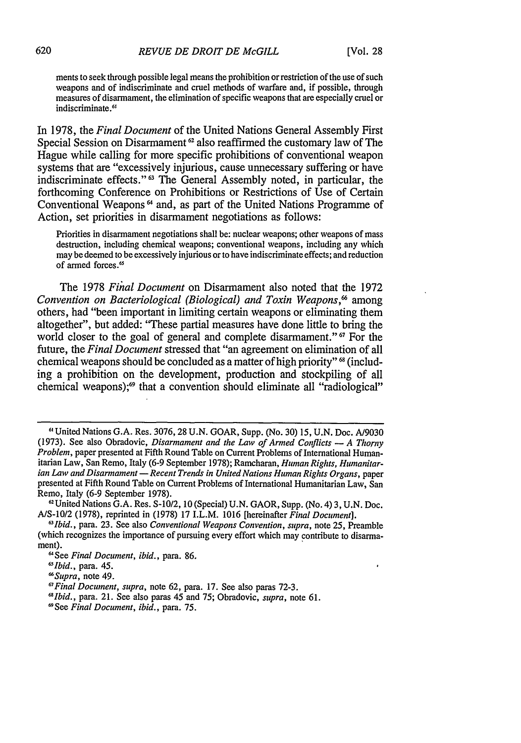ments to seek through possible legal means the prohibition or restriction of the use of such weapons and of indiscriminate and cruel methods of warfare and, if possible, through measures of disarmament, the elimination of specific weapons that are especially cruel or indiscriminate.<sup>6</sup> '

In 1978, the *Final Document* of the United Nations General Assembly First Special Session on Disarmament<sup>62</sup> also reaffirmed the customary law of The Hague while calling for more specific prohibitions of conventional weapon systems that are "excessively injurious, cause unnecessary suffering or have indiscriminate effects."<sup>63</sup> The General Assembly noted, in particular, the forthcoming Conference on Prohibitions or Restrictions of Use of Certain Conventional Weapons 64 and, as part of the United Nations Programme of Action, set priorities in disarmament negotiations as follows:

Priorities in disarmament negotiations shall be: nuclear weapons; other weapons of mass destruction, including chemical weapons; conventional weapons, including any which may be deemed to be excessively injurious or to have indiscriminate effects; and reduction of armed forces.<sup>65</sup>

The 1978 *Final Document* on Disarmament also noted that the 1972 *Convention on Bacteriological (Biological) and Toxin Weapons*,<sup>66</sup> among others, had "been important in limiting certain weapons or eliminating them altogether", but added: "These partial measures have done little to bring the world closer to the goal of general and complete disarmament." <sup>67</sup> For the future, the *Final Document* stressed that "an agreement on elimination of all chemical weapons should be concluded as a matter of high priority" **6** (including a prohibition on the development, production and stockpiling of all chemical weapons);<sup>69</sup> that a convention should eliminate all "radiological"

**<sup>6</sup>**United Nations G.A. Res. 3076, 28 U.N. GOAR, Supp. (No. 30) 15, U.N. Doc. A/9030 (1973). See also Obradovic, *Disarmament and the Law of Armed Conflicts* **-** *A Thorny Problem,* paper presented at Fifth Round Table on Current Problems of International Humanitarian Law, San Remo, Italy (6-9 September 1978); Ramcharan, *Human Rights, Humanitarian Law and Disarmament* **-** *Recent Trends in United Nations Human Rights Organs,* paper presented at Fifth Round Table on Current Problems of International Humanitarian Law, San Remo, Italy (6-9 September 1978). <sup>2</sup>

United Nations G.A. Res. S-10/2, 10 (Special) U.N. GAOR, Supp. (No. 4) 3, U.N. Doc. A/S-10/2 (1978), reprinted in (1978) 17 I.L.M. 1016 [hereinafter *Final Document].*

*<sup>&#</sup>x27;ibid.,* para. 23. See also *Conventional Weapons Convention, supra,* note 25, Preamble (which recognizes the importance of pursuing every effort which may contribute to disarmament).

<sup>&</sup>quot;See *Final Document, ibid.,* para. 86.

*<sup>&#</sup>x27;Ibid.,* para. 45.

*<sup>&#</sup>x27;Supra,* note 49.

*<sup>&#</sup>x27;Final Document, supra,* note 62, para. 17. See also paras 72-3.

*<sup>&</sup>quot;Ibid.,* para. 21. See also paras 45 and 75; Obradovic, *supra,* note 61.

<sup>&#</sup>x27;See *Final Document, ibid.,* para. 75.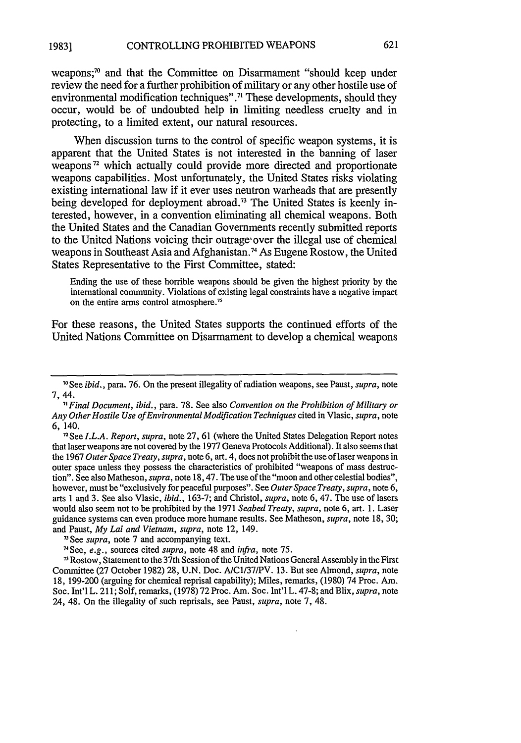#### CONTROLLING PROHIBITED WEAPONS **19831**

weapons;<sup>70</sup> and that the Committee on Disarmament "should keep under review the need for a further prohibition of military or any other hostile use of environmental modification techniques".<sup>71</sup> These developments, should they occur, would be of undoubted help in limiting needless cruelty and in protecting, to a limited extent, our natural resources.

When discussion turns to the control of specific weapon systems, it is apparent that the United States is not interested in the banning of laser weapons<sup>72</sup> which actually could provide more directed and proportionate weapons capabilities. Most unfortunately, the United States risks violating existing international law if it ever uses neutron warheads that are presently being developed for deployment abroad.<sup>73</sup> The United States is keenly interested, however, in a convention eliminating all chemical weapons. Both the United States and the Canadian Governments recently submitted reports to the United Nations voicing their outrage' over the illegal use of chemical weapons in Southeast Asia and Afghanistan. 74 As Eugene Rostow, the United States Representative to the First Committee, stated:

Ending the use of these horrible weapons should be given the highest priority by the international community. Violations of existing legal constraints have a negative impact on the entire arms control atmosphere."

For these reasons, the United States supports the continued efforts of the United Nations Committee on Disarmament to develop a chemical weapons

*<sup>7</sup> Final Document, ibid.,* para. 78. See also *Convention on the Prohibition of Military or Any Other Hostile Use of Environmental Modification Techniques* cited in Vlasic, *supra,* note 6, 140.

<sup>n</sup> See *I.L.A. Report, supra,* note 27, 61 (where the United States Delegation Report notes that laser weapons are not covered by the 1977 Geneva Protocols Additional). It also seems that the 1967 *Outer Space Treaty, supra,* note 6, art. 4, does not prohibit the use of laser weapons in outer space unless they possess the characteristics of prohibited "weapons of mass destruction". See also Matheson, *supra,* note 18, 47. The use of the "moon and other celestial bodies", however, must be "exclusively for peaceful purposes". See *Outer Space Treaty, supra,* note 6, arts 1 and 3. See also Vlasic, *ibid.,* 163-7; and Christol, *supra,* note 6, 47. The use of lasers would also seem not to be prohibited by the 1971 *Seabed Treaty, supra,* note 6, art. 1. Laser guidance systems can even produce more humane results. See Matheson, *supra,* note 18, 30; and Paust, *My Lai and Vietnam, supra,* note 12, 149.

74 See, *e.g.,* sources cited *supra,* note 48 and *infra,* note 75.

75 Rostow, Statement to the 37th Session of the United Nations General Assembly in the First Committee (27 October 1982) 28, U.N. Doc. A/Cl/37/PV. 13. But see Almond, *supra,* note 18, 199-200 (arguing for chemical reprisal capability); Miles, remarks, (1980) 74 Proc. Am. Soc. Int'l L. 211; Solf, remarks, (1978) 72 Proc. Am. Soc. Int'l L. 47-8; and Blix, *supra,* note 24, 48. On the illegality of such reprisals, see Paust, *supra,* note 7, 48.

<sup>7</sup> See *ibid.,* para. 76. On the present illegality of radiation weapons, see Paust, *supra,* note 7, 44.

**<sup>71</sup>** See *supra,* note 7 and accompanying text.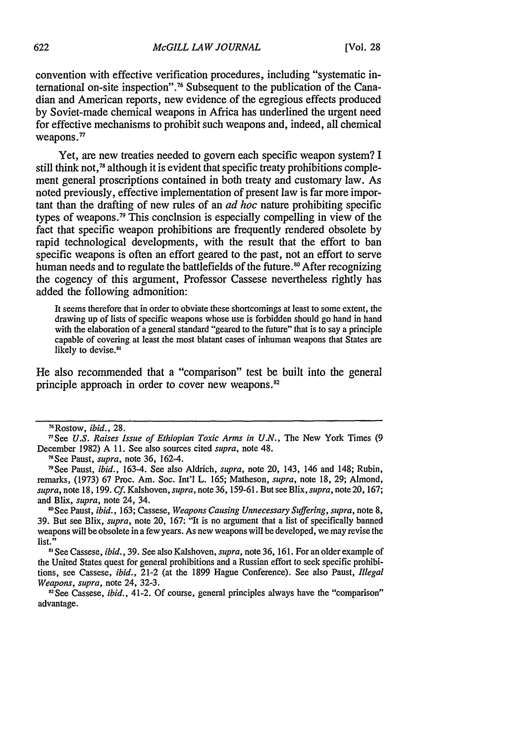convention with effective verification procedures, including "systematic international on-site inspection".76 Subsequent to the publication of the Canadian and American reports, new evidence of the egregious effects produced by Soviet-made chemical weapons in Africa has underlined the urgent need for effective mechanisms to prohibit such weapons and, indeed, all chemical weapons."

Yet, are new treaties needed to govern each specific weapon system? I still think not,<sup>78</sup> although it is evident that specific treaty prohibitions complement general proscriptions contained in both treaty and customary law. As noted previously, effective implementation of present law is far more important than the drafting of new rules of an *ad hoc* nature prohibiting specific types of weapons.<sup>79</sup> This conclusion is especially compelling in view of the fact that specific weapon prohibitions are frequently rendered obsolete by rapid technological developments, with the result that the effort to ban specific weapons is often an effort geared to the past, not an effort to serve human needs and to regulate the battlefields of the future.<sup>80</sup> After recognizing the cogency of this argument, Professor Cassese nevertheless rightly has added the following admonition:

It seems therefore that in order to obviate these shortcomings at least to some extent, the drawing up of lists of specific weapons whose use is forbidden should go hand in hand with the elaboration of a general standard "geared to the future" that is to say a principle capable of covering at least the most blatant cases of inhuman weapons that States are likely to devise.<sup>81</sup>

He also recommended that a "comparison" test be built into the general principle approach in order to cover new weapons.<sup>82</sup>

<sup>76</sup> Rostow, *ibid.,* 28.

<sup>&</sup>quot;See *U.S. Raises Issue of Ethiopian Toxic Arms in U.N.,* The New York Times (9 December 1982) A 11. See also sources cited *supra,* note 48. <sup>7</sup>

<sup>1</sup>See Paust, *supra,* note 36, 162-4.

<sup>&#</sup>x27;9See Paust, *ibid.,* 163-4. See also Aldrich, *supra,* note 20, 143, 146 and 148; Rubin, remarks, (1973) 67 Proc. Am. Soc. Int'l L. 165; Matheson, supra, note 18, 29; Almond, *supra,* note 18, 199. *Cf.* Kalshoven, *supra,* note 36, 159-61. But see Blix, supra, note 20, 167; and Blix, supra, note 24, 34.

<sup>&#</sup>x27;See Paust, *ibid.,* 163; Cassese, *Weapons Causing Unnecessary Suffering,* supra, note 8, 39. But see Blix, *supra,* note 20, 167: "It is no argument that a list of specifically banned weapons will be obsolete in a few years. As new weapons will be developed, we may revise the list."

**<sup>11</sup>** See Cassese, *ibid.,* 39. See also Kalshoven, *supra,* note 36, 161. For an older example of the United States quest for general prohibitions and a Russian effort to seek specific prohibitions, see Cassese, *ibid.,* 21-2 (at the 1899 Hague Conference). See also Paust, *Illegal Weapons, supra,* note 24, 32-3.

<sup>&</sup>lt;sup>82</sup> See Cassese, *ibid.*, 41-2. Of course, general principles always have the "comparison" advantage.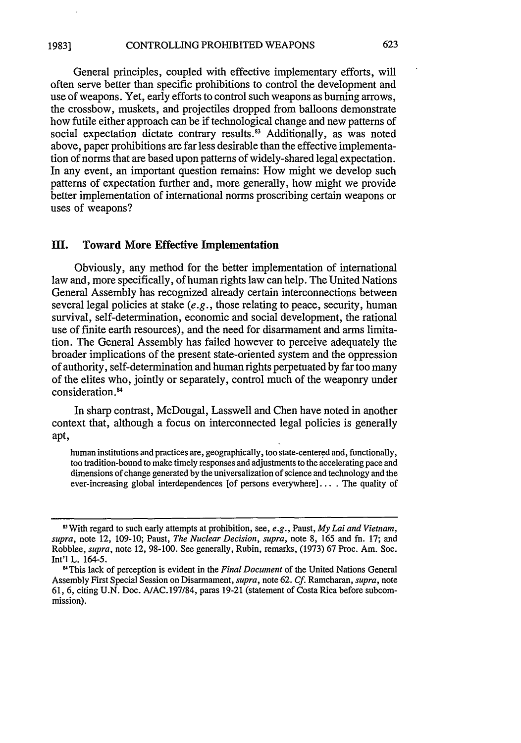General principles, coupled with effective implementary efforts, will often serve better than specific prohibitions to control the development and use of weapons. Yet, early efforts to control such weapons as burning arrows, the crossbow, muskets, and projectiles dropped from balloons demonstrate how futile either approach can be if technological change and new patterns of social expectation dictate contrary results.<sup>83</sup> Additionally, as was noted above, paper prohibitions are far less desirable than the effective implementation of norms that are based upon patterns of widely-shared legal expectation. In any event, an important question remains: How might we develop such patterns of expectation further and, more generally, how might we provide better implementation of international norms proscribing certain weapons or uses of weapons?

## **III.** Toward More Effective Implementation

Obviously, any method for the better implementation of international law and, more specifically, of human rights law can help. The United Nations General Assembly has recognized already certain interconnections between several legal policies at stake (e.g., those relating to peace, security, human survival, self-determination, economic and social development, the rational use of finite earth resources), and the need for disarmament and arms limitation. The General Assembly has failed however to perceive adequately the broader implications of the present state-oriented system and the oppression of authority, self-determination and human rights perpetuated by far too many of the elites who, jointly or separately, control much of the weaponry under consideration.<sup>84</sup>

In sharp contrast, McDougal, Lasswell and Chen have noted in another context that, although a focus on interconnected legal policies is generally apt,

human institutions and practices are, geographically, too state-centered and, functionally, too tradition-bound to make timely responses and adjustments to the accelerating pace and dimensions of change generated by the universalization of science and technology and the ever-increasing global interdependences [of persons everywhere]... . The quality of

<sup>83</sup> With regard to such early attempts at prohibition, see, *e.g.,* Paust, *My Lai and Vietnam, supra,* note 12, 109-10; Paust, *The Nuclear Decision, supra,* note 8, 165 and fn. 17; and Robblee, *supra,* note 12, 98-100. See generally, Rubin, remarks, (1973) 67 Proc. Am. Soc. Int'l L. 164-5.

<sup>&</sup>quot;This lack of perception is evident in the *Final Document* of the United Nations General Assembly First Special Session on Disarmament, *supra,* note 62. **Cf.** Ramcharan, *supra,* note 61, 6, citing U.N. Doc. AIAC. 197/84, paras 19-21 (statement of Costa Rica before subcommission).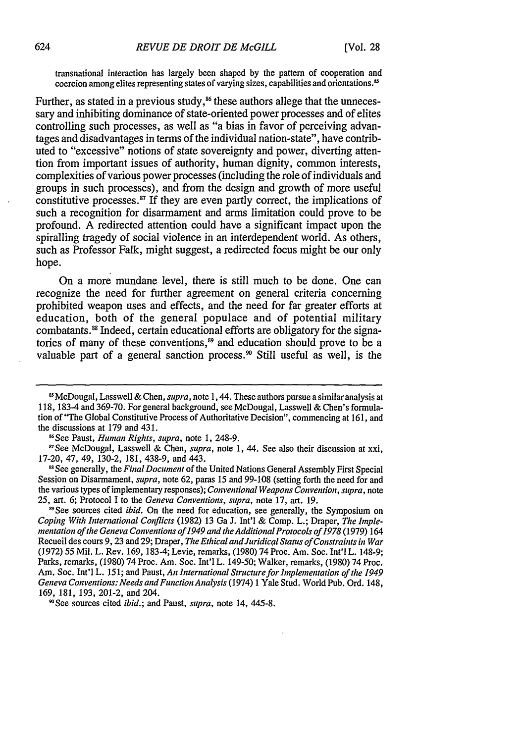transnational interaction has largely been shaped by the pattern of cooperation and coercion among elites representing states of varying sizes, capabilities and orientations."

Further, as stated in a previous study,<sup>86</sup> these authors allege that the unnecessary and inhibiting dominance of state-oriented power processes and of elites controlling such processes, as well as "a bias in favor of perceiving advantages and disadvantages in terms of the individual nation-state", have contributed to "excessive" notions of state sovereignty and power, diverting attention from important issues of authority, human dignity, common interests, complexities of various power processes (including the role of individuals and groups in such processes), and from the design and growth of more useful constitutive processes.<sup>87</sup> If they are even partly correct, the implications of such a recognition for disarmament and arms limitation could prove to be profound. A redirected attention could have a significant impact upon the spiralling tragedy of social violence in an interdependent world. As others, such as Professor Falk, might suggest, a redirected focus might be our only hope.

On a more mundane level, there is still much to be done. One can recognize the need for further agreement on general criteria concerning prohibited weapon uses and effects, and the need for far greater efforts at education, both of the general populace and of potential military combatants."8 Indeed, certain educational efforts are obligatory for the signatories of many of these conventions,<sup>89</sup> and education should prove to be a valuable part of a general sanction process.<sup>90</sup> Still useful as well, is the

7See McDougal, Lasswell & Chen, *supra,* note 1, 44. See also their discussion at xxi, 17-20, 47, 49, 130-2, 181, 438-9, and 443.

**11** See generally, the *FinalDocument* of the United Nations General Assembly First Special Session on Disarmament, *supra,* note 62, paras 15 and 99-108 (setting forth the need for and the various types of implementary responses); *Conventional Weapons Convention, supra,* note **25,** art. 6; Protocol I to the *Geneva Conventions, supra,* note 17, art. 19.

<sup>89</sup> See sources cited *ibid*. On the need for education, see generally, the Symposium on *Coping With International Conflicts* (1982) 13 Ga J. Int'l & Comp. L.; Draper, *The Implementation of the Geneva Conventions of 1949 and the Additional Protocols of 1978* (1979) 164 Recueil des cours 9, 23 and 29; Draper, *The Ethical and Juridical Status of Constraints in War* (1972) 55 Mil. L. Rev. 169, 183-4; Levie, remarks, (1980) 74 Proc. Am. Soc. Int'l L. 148-9; Parks, remarks, (1980) 74 Proc. Am. Soc. Int'l L. 149-50; Walker, remarks, (1980) 74 Proc. Am. Soc. Int'l L. 151; and Paust, *An International Structure for Implementation of the 1949 Geneva Conventions: Needs andFunction Analysis* (1974) 1 Yale Stud. World Pub. Ord. 148, 169, 181, 193, 201-2, and 204.

9"See sources cited *ibid.;* and Paust, *supra,* note 14, 445-8.

<sup>&</sup>lt;sup>25</sup> McDougal, Lasswell & Chen, *supra*, note 1, 44. These authors pursue a similar analysis at 118, 183-4 and 369-70. For general background, see McDougal, Lasswell & Chen's formulation of "The Global Constitutive Process of Authoritative Decision", commencing at 161, and the discussions at 179 and 431.

<sup>16</sup>See Paust, *Human Rights, supra,* note 1, 248-9.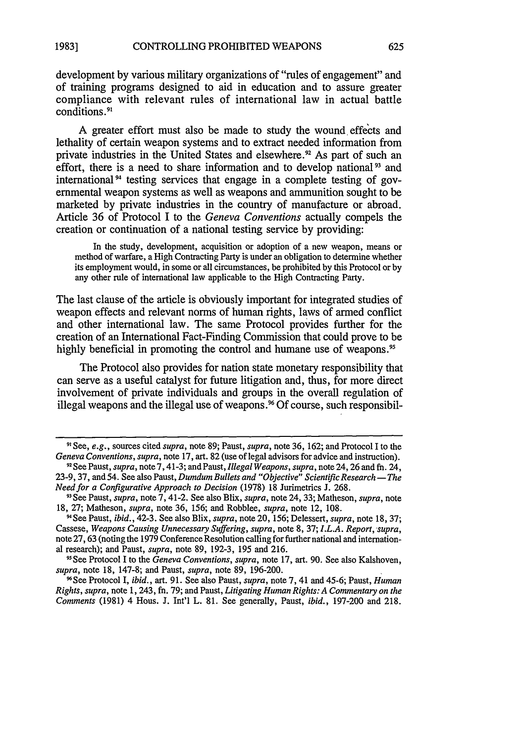development **by** various military organizations of "rules of engagement" and of training programs designed to aid in education and to assure greater compliance with relevant rules of international law in actual battle conditions.<sup>9</sup> '

**A** greater effort must also be made to study the wound, effects and lethality of certain weapon systems and to extract needed information from private industries in the United States and elsewhere.<sup>92</sup> As part of such an effort, there is a need to share information and to develop national<sup>93</sup> and international  $94$  testing services that engage in a complete testing of governmental weapon systems as well as weapons and ammunition sought to be marketed **by** private industries in the country of manufacture or abroad. Article **36** of Protocol I to the *Geneva Conventions* actually compels the creation or continuation of a national testing service **by** providing:

In the study, development, acquisition or adoption of a new weapon, means or method of warfare, a High Contracting Party is under an obligation to determine whether its employment would, in some or all circumstances, be prohibited **by** this Protocol or **by** any other rule of international law applicable to the High Contracting Party.

The last clause of the article is obviously important for integrated studies of weapon effects and relevant norms of human rights, laws of armed conflict and other international law. The same Protocol provides further for the creation of an International Fact-Finding Commission that could prove to be highly beneficial in promoting the control and humane use of weapons.<sup>95</sup>

The Protocol also provides for nation state monetary responsibility that can serve as a useful catalyst for future litigation and, thus, for more direct involvement of private individuals and groups in the overall regulation of illegal weapons and the illegal use of weapons.96 **Of** course, such responsibil-

**<sup>91</sup>** See, e.g., sources cited *supra,* note **89;** Paust, *supra,* note **36, 162;** and Protocol I to the *Geneva Conventions, supra,* note **17,** art. **82** (use of legal advisors for advice and instruction).

**<sup>92</sup>See** Paust, *supra,* note **7,** 41-3; and Paust, *Illegal Weapons, supra,* note 24, **26** and fn. 24, **23-9, 37,** and 54. See also Paust, *Dumdum Bullets and "Objective" Scientific Research- The Need for a Configurative Approach to Decision* **(1978) 18** Jurimetrics **J. 268.**

<sup>9&</sup>quot;See Paust, *supra,* note **7,** 41-2. See also Blix, *supra,* note 24, **33;** Matheson, *supra,* note **18, 27;** Matheson, *supra,* note **36, 156;** and Robblee, *supra,* note 12, **108.**

<sup>&</sup>quot;See Paust, *ibid.,* 42-3. See also Blix, *supra,* note 20, **156;** Delessert, *supra,* note **18, 37;** Cassese, *Weapons Causing Unnecessary Suffering, supra,* note **8, 37;** *I.L.A. Report, supra,* note **27, 63** (noting the **1979** Conference Resolution calling for further national and international research); and Paust, *supra,* note **89, 192-3, 195** and **216.**

<sup>9&</sup>quot;See Protocol **I** to the *Geneva Conventions, supra,* note **17,** art. **90.** See also Kalshoven, *supra,* note **18, 147-8;** and Paust, *supra,* note **89, 196-200.**

<sup>&</sup>quot;See Protocol **I,** *ibid.,* art. **91.** See also Paust, *supra,* note **7,** 41 and 45-6; Paust, *Human Rights, supra,* note 1,243, fn. **79;** and Paust, *Litigating Human Rights: A Commentary on the Comments* **(1981)** 4 Hous. **J.** Int'l L. **81.** See generally, Paust, *ibid.,* **197-200** and 218.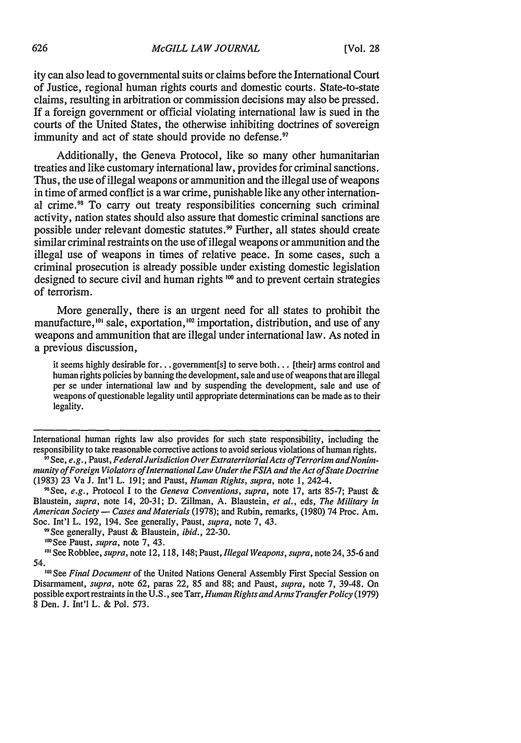ity can also lead to governmental suits or claims before the International Court of Justice, regional human rights courts and domestic courts. State-to-state claims, resulting in arbitration or commission decisions may also be pressed. If a foreign government or official violating international law is sued in the courts of the United States, the otherwise inhibiting doctrines of sovereign immunity and act of state should provide no defense.<sup>97</sup>

Additionally, the Geneva Protocol, like so many other humanitarian treaties and like customary international law, provides for criminal sanctions. Thus, the use of illegal weapons or ammunition and the illegal use of weapons in time of armed conflict is a war crime, punishable like any other international crime.98 To carry out treaty responsibilities concerning such criminal activity, nation states should also assure that domestic criminal sanctions are possible under relevant domestic statutes.<sup>99</sup> Further, all states should create similar criminal restraints on the use of illegal weapons or ammunition and the illegal use of weapons in times of relative peace. In some cases, such a criminal prosecution is already possible under existing domestic legislation designed to secure civil and human rights **100** and to prevent certain strategies of terrorism.

More generally, there is an urgent need for all states to prohibit the manufacture,<sup>101</sup> sale, exportation,<sup>102</sup> importation, distribution, and use of any weapons and ammunition that are illegal under international law. As noted in a previous discussion,

it seems highly desirable for... government[s] to serve both... [their] arms control and human rights policies by banning the development, sale and use of weapons that are illegal per se under international law and by suspending the development, sale and use of weapons of questionable legality until appropriate determinations can be made as to their legality.

International human rights law also provides for such state responsibility, including the responsibility to take reasonable corrective actions to avoid serious violations of human rights.

"See generally, Paust & Blaustein, *ibid.,* 22-30.

<sup>100</sup> See Paust, *supra*, note 7, 43.

<sup>101</sup> See Robblee, *supra*, note 12, 118, 148; Paust, *Illegal Weapons*, *supra*, note 24, 35-6 and 54.

<sup>102</sup> See Final Document of the United Nations General Assembly First Special Session on Disarmament, *supra,* note 62, paras 22, 85 and 88; and Paust, *supra,* note 7, 3948. On possible export restraints in the U.S., see Tarr, *Human Rights andArms TransferPolicy* (1979) 8 Den. J. Int'l L. & Pol. 573.

<sup>&</sup>lt;sup>9</sup> See, e.g., Paust, *Federal Jurisdiction Over Extraterritorial Acts of Terrorism and Nonimmunity of Foreign Violators oflnternational Law Under the FSIA and the Act of State Doctrine* (1983) 23 Va J. Int'l L. 191; and Paust, *Human Rights, supra,* note 1, 242-4.

<sup>98</sup> See, *e.g.,* Protocol I to the *Geneva Conventions, supra,* note 17, arts 85-7; Paust & Blaustein, *supra,* note 14, 20-31; D. Zillman, A. Blaustein, *et al.,* eds, *The Military in American Society* **-** *Cases and Materials* (1978); and Rubin, remarks, (1980) 74 Proc. Am. Soc. Int'l L. 192, 194. See generally, Paust, *supra,* note 7, 43.